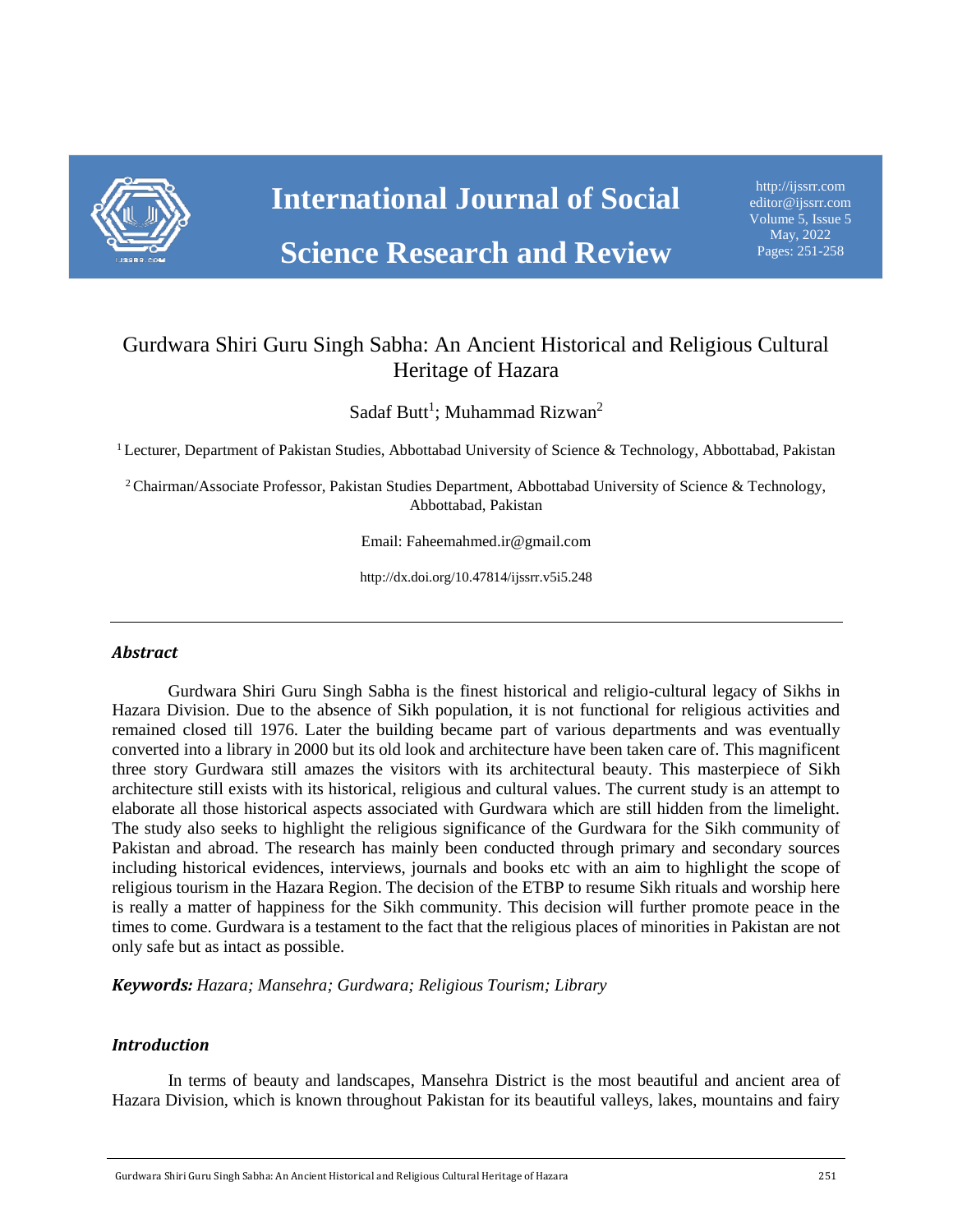

**Science Research and Review** 

[http://ijssrr.com](http://ijmmu.com/) [editor@ijssrr.com](mailto:editor@ijmmu.com) Volume 5, Issue 5 May, 2022 Pages: 251-258

# Gurdwara Shiri Guru Singh Sabha: An Ancient Historical and Religious Cultural Heritage of Hazara

Sadaf Butt<sup>1</sup>; Muhammad Rizwan<sup>2</sup>

<sup>1</sup> Lecturer, Department of Pakistan Studies, Abbottabad University of Science & Technology, Abbottabad, Pakistan

<sup>2</sup> Chairman/Associate Professor, Pakistan Studies Department, Abbottabad University of Science & Technology, Abbottabad, Pakistan

Email: Faheemahmed.ir@gmail.com

http://dx.doi.org/10.47814/ijssrr.v5i5.248

#### *Abstract*

Gurdwara Shiri Guru Singh Sabha is the finest historical and religio-cultural legacy of Sikhs in Hazara Division. Due to the absence of Sikh population, it is not functional for religious activities and remained closed till 1976. Later the building became part of various departments and was eventually converted into a library in 2000 but its old look and architecture have been taken care of. This magnificent three story Gurdwara still amazes the visitors with its architectural beauty. This masterpiece of Sikh architecture still exists with its historical, religious and cultural values. The current study is an attempt to elaborate all those historical aspects associated with Gurdwara which are still hidden from the limelight. The study also seeks to highlight the religious significance of the Gurdwara for the Sikh community of Pakistan and abroad. The research has mainly been conducted through primary and secondary sources including historical evidences, interviews, journals and books etc with an aim to highlight the scope of religious tourism in the Hazara Region. The decision of the ETBP to resume Sikh rituals and worship here is really a matter of happiness for the Sikh community. This decision will further promote peace in the times to come. Gurdwara is a testament to the fact that the religious places of minorities in Pakistan are not only safe but as intact as possible.

*Keywords: Hazara; Mansehra; Gurdwara; Religious Tourism; Library*

#### *Introduction*

In terms of beauty and landscapes, Mansehra District is the most beautiful and ancient area of Hazara Division, which is known throughout Pakistan for its beautiful valleys, lakes, mountains and fairy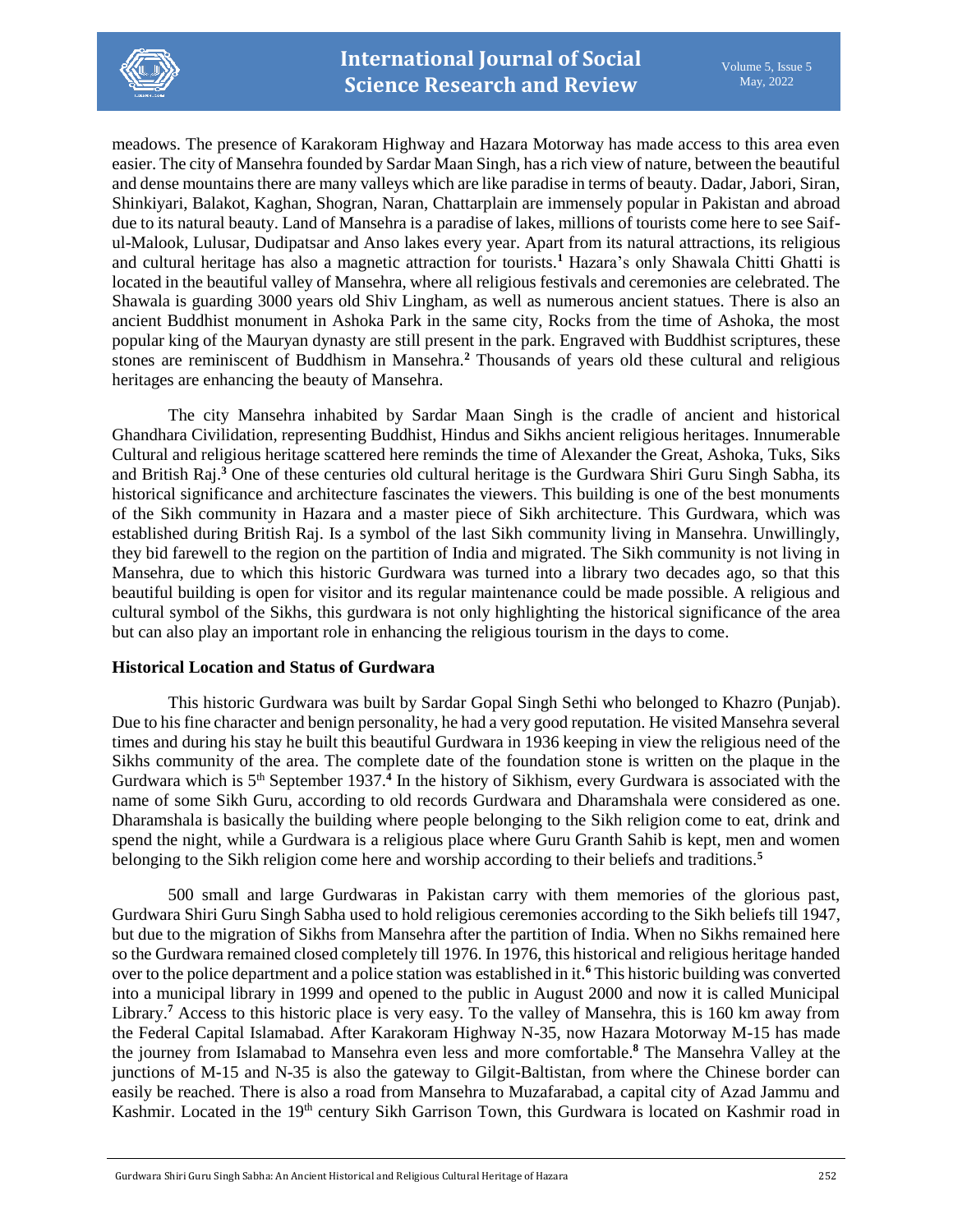

meadows. The presence of Karakoram Highway and Hazara Motorway has made access to this area even easier. The city of Mansehra founded by Sardar Maan Singh, has a rich view of nature, between the beautiful and dense mountains there are many valleys which are like paradise in terms of beauty. Dadar, Jabori, Siran, Shinkiyari, Balakot, Kaghan, Shogran, Naran, Chattarplain are immensely popular in Pakistan and abroad due to its natural beauty. Land of Mansehra is a paradise of lakes, millions of tourists come here to see Saiful-Malook, Lulusar, Dudipatsar and Anso lakes every year. Apart from its natural attractions, its religious and cultural heritage has also a magnetic attraction for tourists.**<sup>1</sup>** Hazara's only Shawala Chitti Ghatti is located in the beautiful valley of Mansehra, where all religious festivals and ceremonies are celebrated. The Shawala is guarding 3000 years old Shiv Lingham, as well as numerous ancient statues. There is also an ancient Buddhist monument in Ashoka Park in the same city, Rocks from the time of Ashoka, the most popular king of the Mauryan dynasty are still present in the park. Engraved with Buddhist scriptures, these stones are reminiscent of Buddhism in Mansehra.**<sup>2</sup>** Thousands of years old these cultural and religious heritages are enhancing the beauty of Mansehra.

The city Mansehra inhabited by Sardar Maan Singh is the cradle of ancient and historical Ghandhara Civilidation, representing Buddhist, Hindus and Sikhs ancient religious heritages. Innumerable Cultural and religious heritage scattered here reminds the time of Alexander the Great, Ashoka, Tuks, Siks and British Raj.**<sup>3</sup>** One of these centuries old cultural heritage is the Gurdwara Shiri Guru Singh Sabha, its historical significance and architecture fascinates the viewers. This building is one of the best monuments of the Sikh community in Hazara and a master piece of Sikh architecture. This Gurdwara, which was established during British Raj. Is a symbol of the last Sikh community living in Mansehra. Unwillingly, they bid farewell to the region on the partition of India and migrated. The Sikh community is not living in Mansehra, due to which this historic Gurdwara was turned into a library two decades ago, so that this beautiful building is open for visitor and its regular maintenance could be made possible. A religious and cultural symbol of the Sikhs, this gurdwara is not only highlighting the historical significance of the area but can also play an important role in enhancing the religious tourism in the days to come.

## **Historical Location and Status of Gurdwara**

This historic Gurdwara was built by Sardar Gopal Singh Sethi who belonged to Khazro (Punjab). Due to his fine character and benign personality, he had a very good reputation. He visited Mansehra several times and during his stay he built this beautiful Gurdwara in 1936 keeping in view the religious need of the Sikhs community of the area. The complete date of the foundation stone is written on the plaque in the Gurdwara which is 5<sup>th</sup> September 1937.<sup>4</sup> In the history of Sikhism, every Gurdwara is associated with the name of some Sikh Guru, according to old records Gurdwara and Dharamshala were considered as one. Dharamshala is basically the building where people belonging to the Sikh religion come to eat, drink and spend the night, while a Gurdwara is a religious place where Guru Granth Sahib is kept, men and women belonging to the Sikh religion come here and worship according to their beliefs and traditions.**<sup>5</sup>**

500 small and large Gurdwaras in Pakistan carry with them memories of the glorious past, Gurdwara Shiri Guru Singh Sabha used to hold religious ceremonies according to the Sikh beliefs till 1947, but due to the migration of Sikhs from Mansehra after the partition of India. When no Sikhs remained here so the Gurdwara remained closed completely till 1976. In 1976, this historical and religious heritage handed over to the police department and a police station was established in it.**<sup>6</sup>** This historic building was converted into a municipal library in 1999 and opened to the public in August 2000 and now it is called Municipal Library.**<sup>7</sup>** Access to this historic place is very easy. To the valley of Mansehra, this is 160 km away from the Federal Capital Islamabad. After Karakoram Highway N-35, now Hazara Motorway M-15 has made the journey from Islamabad to Mansehra even less and more comfortable.**<sup>8</sup>** The Mansehra Valley at the junctions of M-15 and N-35 is also the gateway to Gilgit-Baltistan, from where the Chinese border can easily be reached. There is also a road from Mansehra to Muzafarabad, a capital city of Azad Jammu and Kashmir. Located in the 19<sup>th</sup> century Sikh Garrison Town, this Gurdwara is located on Kashmir road in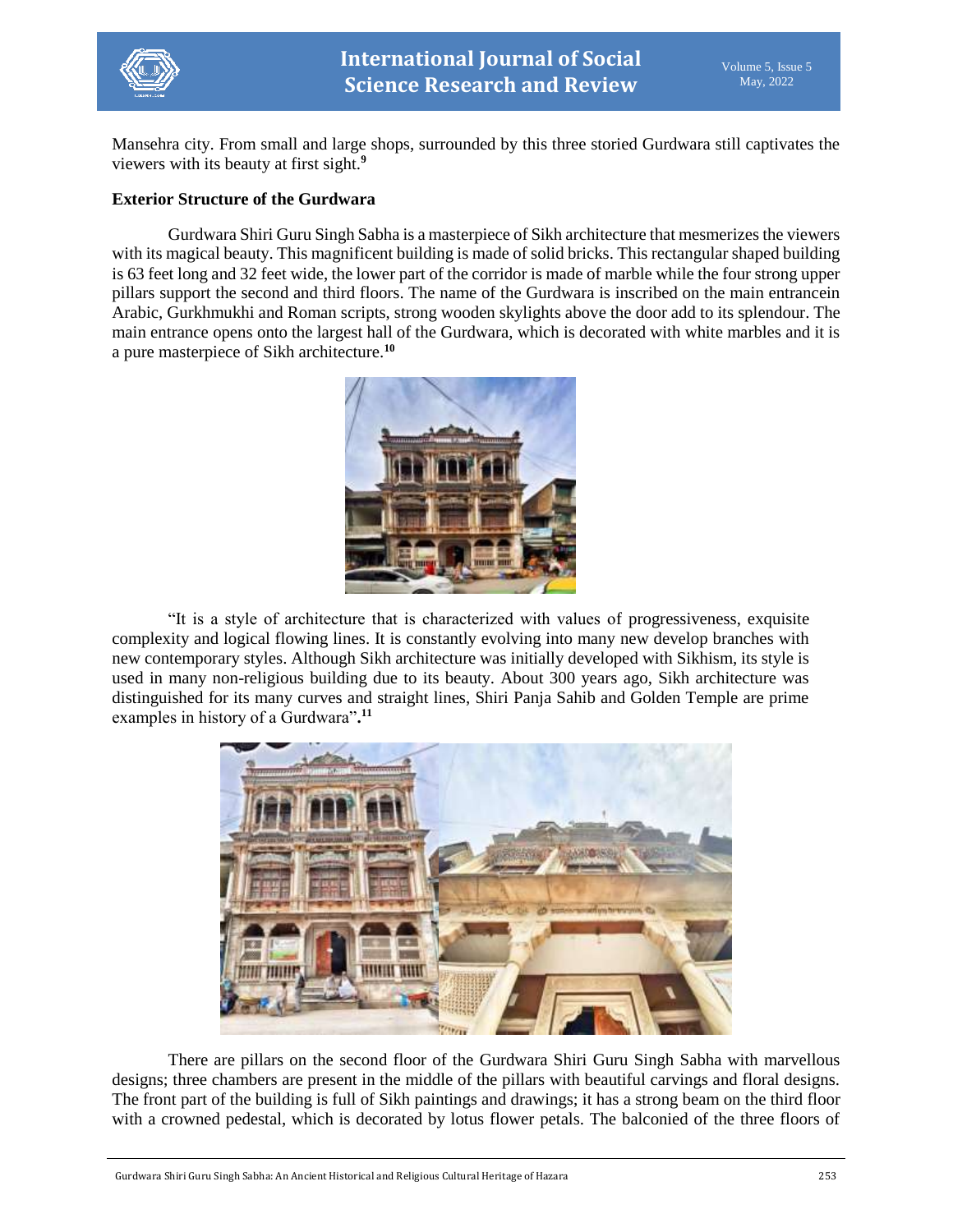

Mansehra city. From small and large shops, surrounded by this three storied Gurdwara still captivates the viewers with its beauty at first sight.**<sup>9</sup>**

### **Exterior Structure of the Gurdwara**

Gurdwara Shiri Guru Singh Sabha is a masterpiece of Sikh architecture that mesmerizes the viewers with its magical beauty. This magnificent building is made of solid bricks. This rectangular shaped building is 63 feet long and 32 feet wide, the lower part of the corridor is made of marble while the four strong upper pillars support the second and third floors. The name of the Gurdwara is inscribed on the main entrancein Arabic, Gurkhmukhi and Roman scripts, strong wooden skylights above the door add to its splendour. The main entrance opens onto the largest hall of the Gurdwara, which is decorated with white marbles and it is a pure masterpiece of Sikh architecture.**<sup>10</sup>**



"It is a style of architecture that is characterized with values of progressiveness, exquisite complexity and logical flowing lines. It is constantly evolving into many new develop branches with new contemporary styles. Although Sikh architecture was initially developed with Sikhism, its style is used in many non-religious building due to its beauty. About 300 years ago, Sikh architecture was distinguished for its many curves and straight lines, Shiri Panja Sahib and Golden Temple are prime examples in history of a Gurdwara"**. 11**



There are pillars on the second floor of the Gurdwara Shiri Guru Singh Sabha with marvellous designs; three chambers are present in the middle of the pillars with beautiful carvings and floral designs. The front part of the building is full of Sikh paintings and drawings; it has a strong beam on the third floor with a crowned pedestal, which is decorated by lotus flower petals. The balconied of the three floors of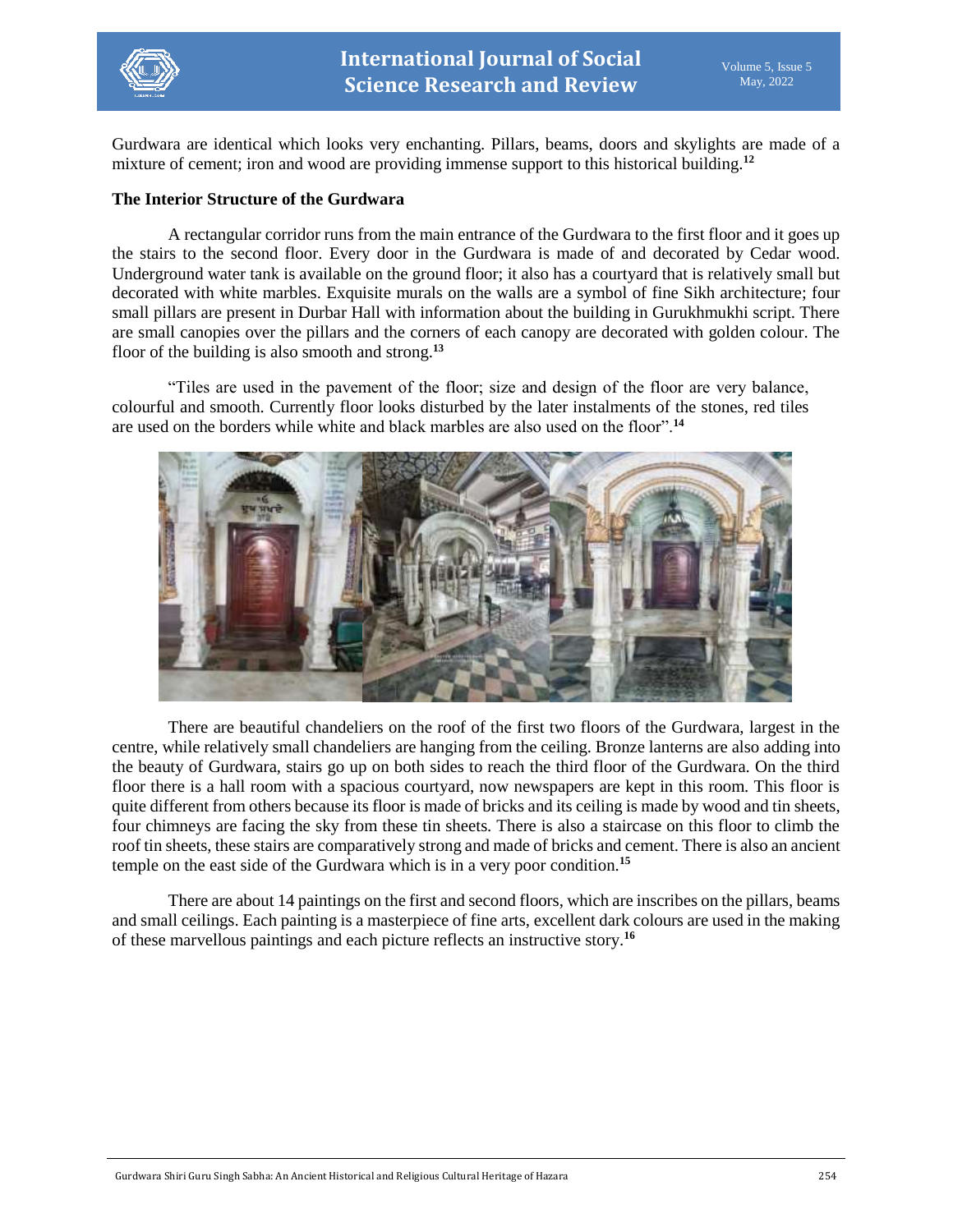

Gurdwara are identical which looks very enchanting. Pillars, beams, doors and skylights are made of a mixture of cement; iron and wood are providing immense support to this historical building.**<sup>12</sup>**

#### **The Interior Structure of the Gurdwara**

A rectangular corridor runs from the main entrance of the Gurdwara to the first floor and it goes up the stairs to the second floor. Every door in the Gurdwara is made of and decorated by Cedar wood. Underground water tank is available on the ground floor; it also has a courtyard that is relatively small but decorated with white marbles. Exquisite murals on the walls are a symbol of fine Sikh architecture; four small pillars are present in Durbar Hall with information about the building in Gurukhmukhi script. There are small canopies over the pillars and the corners of each canopy are decorated with golden colour. The floor of the building is also smooth and strong.**<sup>13</sup>**

"Tiles are used in the pavement of the floor; size and design of the floor are very balance, colourful and smooth. Currently floor looks disturbed by the later instalments of the stones, red tiles are used on the borders while white and black marbles are also used on the floor".**<sup>14</sup>**



There are beautiful chandeliers on the roof of the first two floors of the Gurdwara, largest in the centre, while relatively small chandeliers are hanging from the ceiling. Bronze lanterns are also adding into the beauty of Gurdwara, stairs go up on both sides to reach the third floor of the Gurdwara. On the third floor there is a hall room with a spacious courtyard, now newspapers are kept in this room. This floor is quite different from others because its floor is made of bricks and its ceiling is made by wood and tin sheets, four chimneys are facing the sky from these tin sheets. There is also a staircase on this floor to climb the roof tin sheets, these stairs are comparatively strong and made of bricks and cement. There is also an ancient temple on the east side of the Gurdwara which is in a very poor condition.**<sup>15</sup>**

There are about 14 paintings on the first and second floors, which are inscribes on the pillars, beams and small ceilings. Each painting is a masterpiece of fine arts, excellent dark colours are used in the making of these marvellous paintings and each picture reflects an instructive story.**16**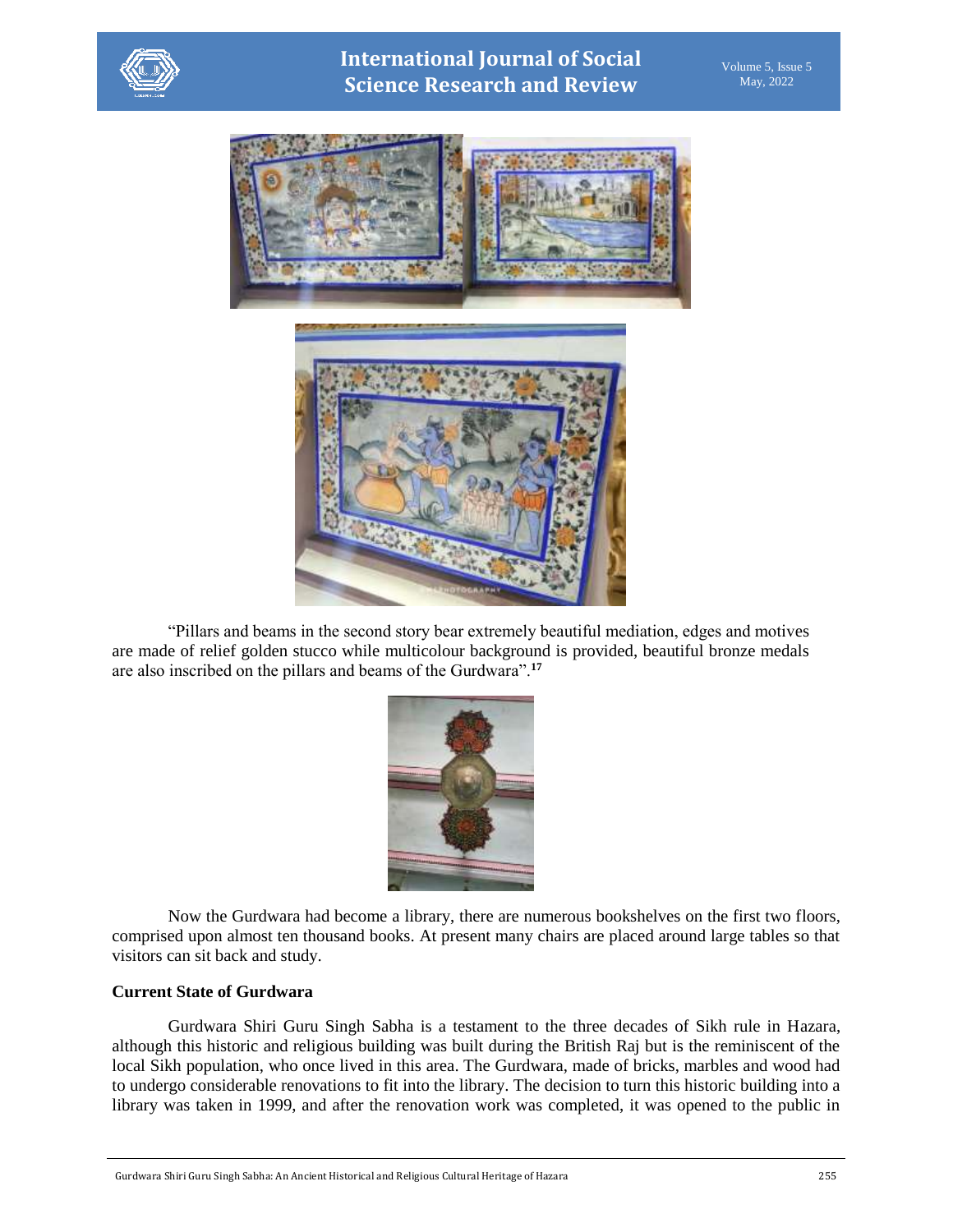

**International Journal of Social Science Research and Review**



"Pillars and beams in the second story bear extremely beautiful mediation, edges and motives are made of relief golden stucco while multicolour background is provided, beautiful bronze medals are also inscribed on the pillars and beams of the Gurdwara".**<sup>17</sup>**



Now the Gurdwara had become a library, there are numerous bookshelves on the first two floors, comprised upon almost ten thousand books. At present many chairs are placed around large tables so that visitors can sit back and study.

## **Current State of Gurdwara**

Gurdwara Shiri Guru Singh Sabha is a testament to the three decades of Sikh rule in Hazara, although this historic and religious building was built during the British Raj but is the reminiscent of the local Sikh population, who once lived in this area. The Gurdwara, made of bricks, marbles and wood had to undergo considerable renovations to fit into the library. The decision to turn this historic building into a library was taken in 1999, and after the renovation work was completed, it was opened to the public in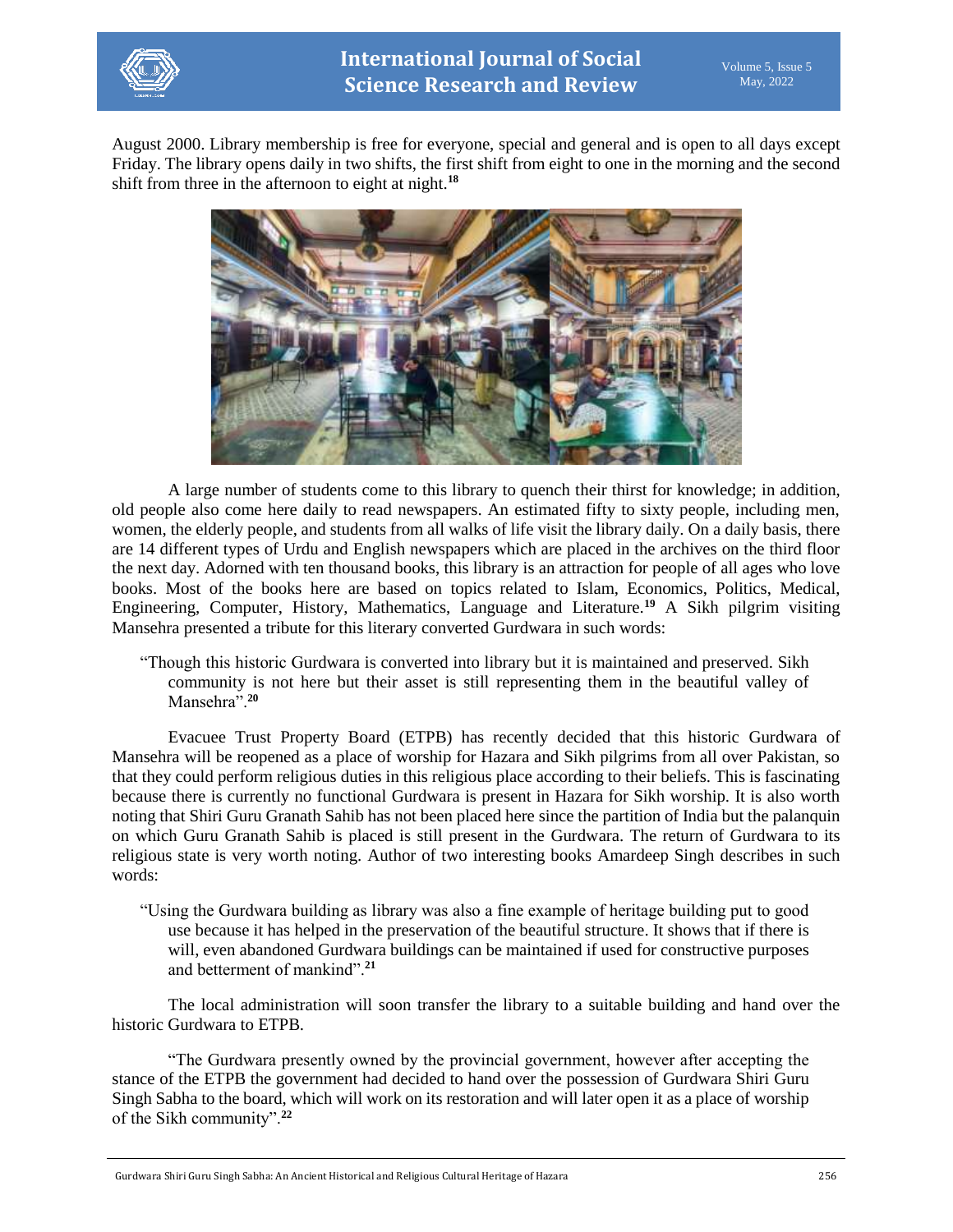

August 2000. Library membership is free for everyone, special and general and is open to all days except Friday. The library opens daily in two shifts, the first shift from eight to one in the morning and the second shift from three in the afternoon to eight at night.**<sup>18</sup>**



A large number of students come to this library to quench their thirst for knowledge; in addition, old people also come here daily to read newspapers. An estimated fifty to sixty people, including men, women, the elderly people, and students from all walks of life visit the library daily. On a daily basis, there are 14 different types of Urdu and English newspapers which are placed in the archives on the third floor the next day. Adorned with ten thousand books, this library is an attraction for people of all ages who love books. Most of the books here are based on topics related to Islam, Economics, Politics, Medical, Engineering, Computer, History, Mathematics, Language and Literature.**<sup>19</sup>** A Sikh pilgrim visiting Mansehra presented a tribute for this literary converted Gurdwara in such words:

"Though this historic Gurdwara is converted into library but it is maintained and preserved. Sikh community is not here but their asset is still representing them in the beautiful valley of Mansehra".**<sup>20</sup>**

Evacuee Trust Property Board (ETPB) has recently decided that this historic Gurdwara of Mansehra will be reopened as a place of worship for Hazara and Sikh pilgrims from all over Pakistan, so that they could perform religious duties in this religious place according to their beliefs. This is fascinating because there is currently no functional Gurdwara is present in Hazara for Sikh worship. It is also worth noting that Shiri Guru Granath Sahib has not been placed here since the partition of India but the palanquin on which Guru Granath Sahib is placed is still present in the Gurdwara. The return of Gurdwara to its religious state is very worth noting. Author of two interesting books Amardeep Singh describes in such words:

"Using the Gurdwara building as library was also a fine example of heritage building put to good use because it has helped in the preservation of the beautiful structure. It shows that if there is will, even abandoned Gurdwara buildings can be maintained if used for constructive purposes and betterment of mankind".**<sup>21</sup>**

The local administration will soon transfer the library to a suitable building and hand over the historic Gurdwara to ETPB.

"The Gurdwara presently owned by the provincial government, however after accepting the stance of the ETPB the government had decided to hand over the possession of Gurdwara Shiri Guru Singh Sabha to the board, which will work on its restoration and will later open it as a place of worship of the Sikh community".**<sup>22</sup>**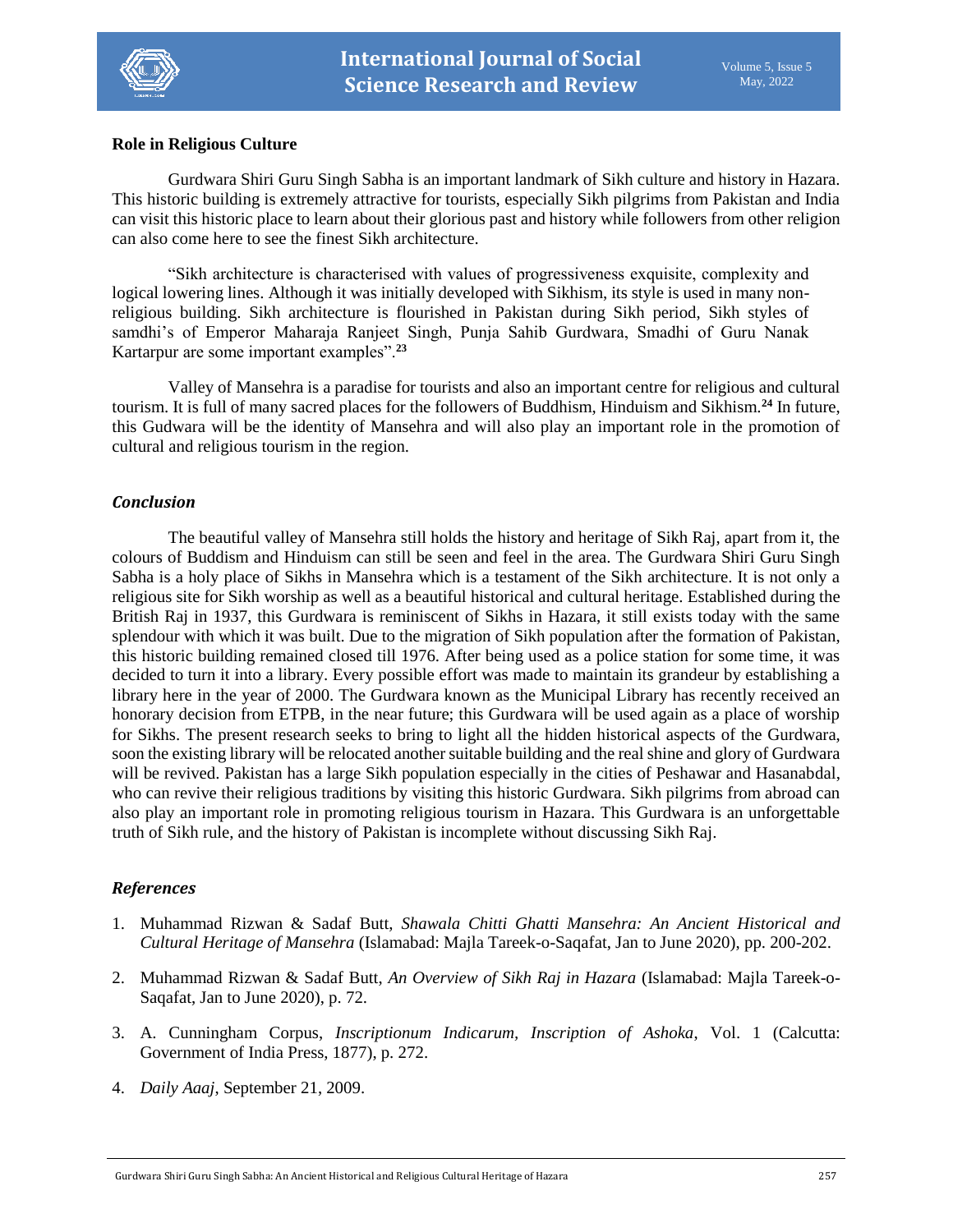

## **Role in Religious Culture**

Gurdwara Shiri Guru Singh Sabha is an important landmark of Sikh culture and history in Hazara. This historic building is extremely attractive for tourists, especially Sikh pilgrims from Pakistan and India can visit this historic place to learn about their glorious past and history while followers from other religion can also come here to see the finest Sikh architecture.

"Sikh architecture is characterised with values of progressiveness exquisite, complexity and logical lowering lines. Although it was initially developed with Sikhism, its style is used in many nonreligious building. Sikh architecture is flourished in Pakistan during Sikh period, Sikh styles of samdhi's of Emperor Maharaja Ranjeet Singh, Punja Sahib Gurdwara, Smadhi of Guru Nanak Kartarpur are some important examples".**<sup>23</sup>**

Valley of Mansehra is a paradise for tourists and also an important centre for religious and cultural tourism. It is full of many sacred places for the followers of Buddhism, Hinduism and Sikhism.**<sup>24</sup>** In future, this Gudwara will be the identity of Mansehra and will also play an important role in the promotion of cultural and religious tourism in the region.

#### *Conclusion*

The beautiful valley of Mansehra still holds the history and heritage of Sikh Raj, apart from it, the colours of Buddism and Hinduism can still be seen and feel in the area. The Gurdwara Shiri Guru Singh Sabha is a holy place of Sikhs in Mansehra which is a testament of the Sikh architecture. It is not only a religious site for Sikh worship as well as a beautiful historical and cultural heritage. Established during the British Raj in 1937, this Gurdwara is reminiscent of Sikhs in Hazara, it still exists today with the same splendour with which it was built. Due to the migration of Sikh population after the formation of Pakistan, this historic building remained closed till 1976. After being used as a police station for some time, it was decided to turn it into a library. Every possible effort was made to maintain its grandeur by establishing a library here in the year of 2000. The Gurdwara known as the Municipal Library has recently received an honorary decision from ETPB, in the near future; this Gurdwara will be used again as a place of worship for Sikhs. The present research seeks to bring to light all the hidden historical aspects of the Gurdwara, soon the existing library will be relocated another suitable building and the real shine and glory of Gurdwara will be revived. Pakistan has a large Sikh population especially in the cities of Peshawar and Hasanabdal, who can revive their religious traditions by visiting this historic Gurdwara. Sikh pilgrims from abroad can also play an important role in promoting religious tourism in Hazara. This Gurdwara is an unforgettable truth of Sikh rule, and the history of Pakistan is incomplete without discussing Sikh Raj.

## *References*

- 1. Muhammad Rizwan & Sadaf Butt, *Shawala Chitti Ghatti Mansehra: An Ancient Historical and Cultural Heritage of Mansehra* (Islamabad: Majla Tareek-o-Saqafat, Jan to June 2020), pp. 200-202.
- 2. Muhammad Rizwan & Sadaf Butt, *An Overview of Sikh Raj in Hazara* (Islamabad: Majla Tareek-o-Saqafat, Jan to June 2020), p. 72.
- 3. A. Cunningham Corpus, *Inscriptionum Indicarum, Inscription of Ashoka*, Vol. 1 (Calcutta: Government of India Press, 1877), p. 272.
- 4. *Daily Aaaj*, September 21, 2009.